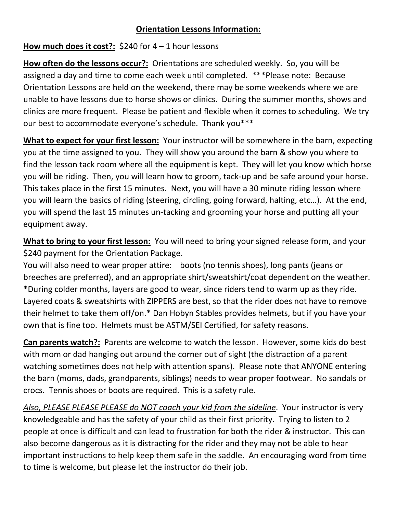## **Orientation Lessons Information:**

## **How much does it cost?:**  $$240$  for  $4 - 1$  hour lessons

**How often do the lessons occur?:** Orientations are scheduled weekly. So, you will be assigned a day and time to come each week until completed. \*\*\*Please note: Because Orientation Lessons are held on the weekend, there may be some weekends where we are unable to have lessons due to horse shows or clinics. During the summer months, shows and clinics are more frequent. Please be patient and flexible when it comes to scheduling. We try our best to accommodate everyone's schedule. Thank you\*\*\*

**What to expect for your first lesson:** Your instructor will be somewhere in the barn, expecting you at the time assigned to you. They will show you around the barn & show you where to find the lesson tack room where all the equipment is kept. They will let you know which horse you will be riding. Then, you will learn how to groom, tack‐up and be safe around your horse. This takes place in the first 15 minutes. Next, you will have a 30 minute riding lesson where you will learn the basics of riding (steering, circling, going forward, halting, etc…). At the end, you will spend the last 15 minutes un‐tacking and grooming your horse and putting all your equipment away.

**What to bring to your first lesson:** You will need to bring your signed release form, and your \$240 payment for the Orientation Package.

You will also need to wear proper attire: boots (no tennis shoes), long pants (jeans or breeches are preferred), and an appropriate shirt/sweatshirt/coat dependent on the weather. \*During colder months, layers are good to wear, since riders tend to warm up as they ride. Layered coats & sweatshirts with ZIPPERS are best, so that the rider does not have to remove their helmet to take them off/on.\* Dan Hobyn Stables provides helmets, but if you have your own that is fine too. Helmets must be ASTM/SEI Certified, for safety reasons.

**Can parents watch?:** Parents are welcome to watch the lesson. However, some kids do best with mom or dad hanging out around the corner out of sight (the distraction of a parent watching sometimes does not help with attention spans). Please note that ANYONE entering the barn (moms, dads, grandparents, siblings) needs to wear proper footwear. No sandals or crocs. Tennis shoes or boots are required. This is a safety rule.

*Also, PLEASE PLEASE PLEASE do NOT coach your kid from the sideline*. Your instructor is very knowledgeable and has the safety of your child as their first priority. Trying to listen to 2 people at once is difficult and can lead to frustration for both the rider & instructor. This can also become dangerous as it is distracting for the rider and they may not be able to hear important instructions to help keep them safe in the saddle. An encouraging word from time to time is welcome, but please let the instructor do their job.